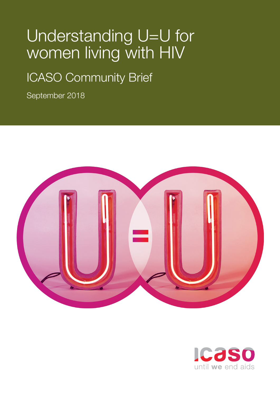# Understanding U=U for women living with HIV

# ICASO Community Brief

September 2018



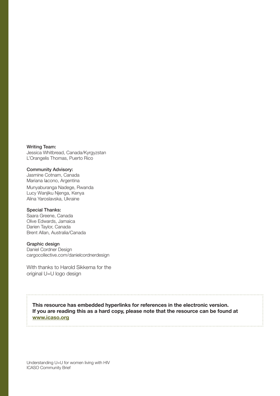Writing Team: Jessica Whitbread, Canada/Kyrgyzstan L'Orangelis Thomas, Puerto Rico

Community Advisory: Jasmine Cotnam, Canada Mariana Iacono, Argentina Munyaburanga Nadege, Rwanda Lucy Wanjiku Njenga, Kenya Alina Yaroslavska, Ukraine

#### Special Thanks:

Saara Greene, Canada Olive Edwards, Jamaica Darien Taylor, Canada Brent Allan, Australia/Canada

#### Graphic design

Daniel Cordner Design [cargocollective.com/danielcordnerdesign](http://cargocollective.com/danielcordnerdesign)

With thanks to Harold Sikkema for the original U=U logo design

**This resource has embedded hyperlinks for references in the electronic version. If you are reading this as a hard copy, please note that the resource can be found at [www.icaso.org](http://www.icaso.org)**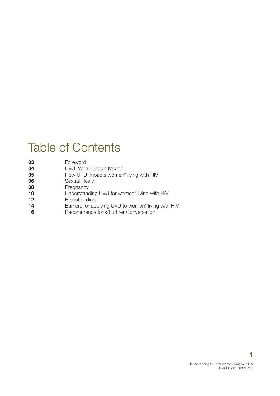# Table of Contents

| 03 | Foreword                                            |
|----|-----------------------------------------------------|
| 04 | U=U: What Does it Mean?                             |
| 05 | How U=U Impacts women* living with HIV              |
| 06 | Sexual Health                                       |
| 08 | Pregnancy                                           |
| 10 | Understanding U=U for women* living with HIV        |
| 12 | <b>Breastfeeding</b>                                |
| 14 | Barriers for applying U=U to women* living with HIV |
| 16 | Recommendations/Further Conversation                |
|    |                                                     |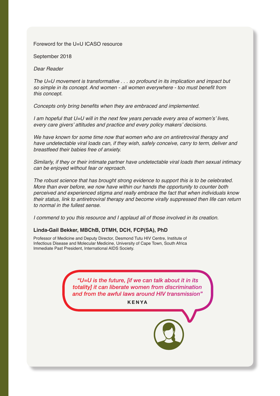### Foreword for the U=U ICASO resource

September 2018

*Dear Reader*

*The U=U movement is transformative . . . so profound in its implication and impact but*  so simple in its concept. And women - all women everywhere - too must benefit from *this concept.*

Concepts only bring benefits when they are embraced and implemented.

I am hopeful that U=U will in the next few years pervade every area of women's' lives, every care givers' attitudes and practice and every policy makers' decisions.

We have known for some time now that women who are on antiretroviral therapy and have undetectable viral loads can, if they wish, safely conceive, carry to term, deliver and *breastfeed their babies free of anxiety.*

Similarly, if they or their intimate partner have undetectable viral loads then sexual intimacy *can be enjoyed without fear or reproach.*

*The robust science that has brought strong evidence to support this is to be celebrated.*  More than ever before, we now have within our hands the opportunity to counter both perceived and experienced stigma and really embrace the fact that when individuals know their status, link to antiretroviral therapy and become virally suppressed then life can return *to normal in the fullest sense.*

*I commend to you this resource and I applaud all of those involved in its creation.*

#### **Linda-Gail Bekker, MBChB, DTMH, DCH, FCP(SA), PhD**

Professor of Medicine and Deputy Director, Desmond Tutu HIV Centre, Institute of Infectious Disease and Molecular Medicine, University of Cape Town, South Africa Immediate Past President, International AIDS Society.

> *"U=U is the future, [if we can talk about it in its totality] it can liberate women from discrimination and from the awful laws around HIV transmission"*

> > **KENYA**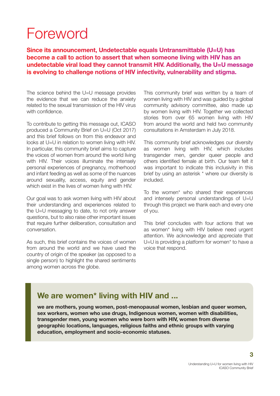# <span id="page-4-0"></span>Foreword

**Since its announcement, Undetectable equals Untransmittable (U=U) has become a call to action to assert that when someone living with HIV has an undetectable viral load they cannot transmit HIV. Additionally, the U=U message is evolving to challenge notions of HIV infectivity, vulnerability and stigma.**

The science behind the U=U message provides the evidence that we can reduce the anxiety related to the sexual transmission of the HIV virus with confidence.

To contribute to getting this message out, ICASO produced a Community Brief on U=U (Oct 2017) and this brief follows on from this endeavor and looks at U=U in relation to women living with HIV. In particular, this community brief aims to capture the voices of women from around the world living with HIV. Their voices illuminate the intensely personal experiences of pregnancy, motherhood and infant feeding as well as some of the nuances around sexuality, access, equity and gender which exist in the lives of women living with HIV.

Our goal was to ask women living with HIV about their understanding and experiences related to the U=U messaging to date, to not only answer questions, but to also raise other important issues that require further deliberation, consultation and conversation.

As such, this brief contains the voices of women from around the world and we have used the country of origin of the speaker (as opposed to a single person) to highlight the shared sentiments among women across the globe.

This community brief was written by a team of women living with HIV and was guided by a global community advisory committee, also made up by women living with HIV. Together we collected stories from over 65 women living with HIV from around the world and held two community consultations in Amsterdam in July 2018.

This community brief acknowledges our diversity as women living with HIV, which includes transgender men, gender queer people and others identified female at birth. Our team felt it was important to indicate this inclusivity in this brief by using an asterisk \* where our diversity is included.

To the women\* who shared their experiences and intensely personal understandings of U=U through this project we thank each and every one of you.

This brief concludes with four actions that we as women\* living with HIV believe need urgent attention. We acknowledge and appreciate that U=U is providing a platform for women\* to have a voice that respond.

## **We are women\* living with HIV and ...**

**we are mothers, young women, post-menopausal women, lesbian and queer women, sex workers, women who use drugs, Indigenous women, women with disabilities, transgender men, young women who were born with HIV, women from diverse geographic locations, languages, religious faiths and ethnic groups with varying education, employment and socio-economic statuses.**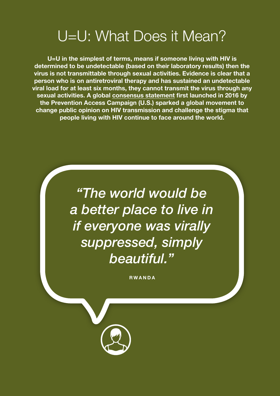# <span id="page-5-0"></span>U=U: What Does it Mean?

**U=U in the simplest of terms, means if someone living with HIV is determined to be undetectable (based on their laboratory results) then the virus is not transmittable through sexual activities. Evidence is clear that a person who is on antiretroviral therapy and has sustained an undetectable viral load for at least six months, they cannot transmit the virus through any sexual activities. A global consensus [statement](https://www.preventionaccess.org/consensus) first launched in 2016 by the Prevention Access Campaign (U.S.) sparked a global movement to change public opinion on HIV transmission and challenge the stigma that people living with HIV continue to face around the world.**

> *"The world would be a better place to live in if everyone was virally suppressed, simply beautiful."*

> > **RWANDA**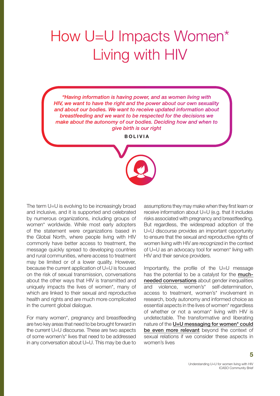# <span id="page-6-0"></span>How U=U Impacts Women\* Living with HIV

*"Having information is having power, and as women living with HIV, we want to have the right and the power about our own sexuality and about our bodies. We want to receive updated information about breastfeeding and we want to be respected for the decisions we make about the autonomy of our bodies. Deciding how and when to give birth is our right*

**B O L I V I A** 

The term U=U is evolving to be increasingly broad and inclusive, and it is supported and celebrated by numerous organizations, including groups of women\* worldwide. While most early adopters of the statement were organizations based in the Global North, where people living with HIV commonly have better access to treatment, the message quickly spread to developing countries and rural communities, where access to treatment may be limited or of a lower quality. However, because the current application of U=U is focused on the risk of sexual transmission, conversations about the other ways that HIV is transmitted and uniquely impacts the lives of women\*, many of which are linked to their sexual and reproductive health and rights and are much more complicated in the current global dialogue.

For many women\*, pregnancy and breastfeeding are two key areas that need to be brought forward in the current U=U discourse. These are two aspects of some women's\* lives that need to be addressed in any conversation about U=U. This may be due to assumptions they may make when they first learn or receive information about U=U (e.g. that it includes risks associated with pregnancy and breastfeeding. But regardless, the widespread adoption of the U=U discourse provides an important opportunity to ensure that the sexual and reproductive rights of women living with HIV are recognized in the context of U=U as an advocacy tool for women\* living with HIV and their service providers.

Importantly, the profile of the U=U message has the potential to be a catalyst for the [much](http://www.whai.ca/ModuleFile?id=269)[needed conversations](http://www.whai.ca/ModuleFile?id=269) about gender inequalities and violence, women's\* self-determination, access to treatment, women's\* involvement in research, body autonomy and informed choice as essential aspects in the lives of women\* regardless of whether or not a woman\* living with HIV is undetectable. The transformative and liberating nature of the U=U messaging for women\* could [be even more relevant](https://www.thewellproject.org/sites/default/files/2018_WRI_Issue_Brief_Final.pdf) beyond the context of sexual relations if we consider these aspects in women's lives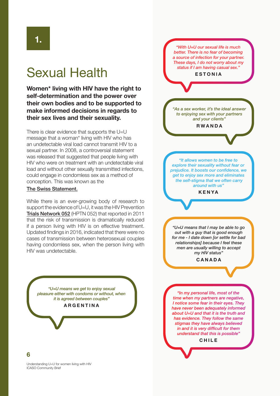# <span id="page-7-0"></span>Sexual Health

**Women\* living with HIV have the right to self-determination and the power over their own bodies and to be supported to make informed decisions in regards to their sex lives and their sexuality.**

There is clear evidence that supports the U=U message that a woman\* living with HIV who has an undetectable viral load cannot transmit HIV to a sexual partner. In 2008, a controversial statement was released that suggested that people living with HIV who were on treatment with an undetectable viral load and without other sexually transmitted infections, could engage in condomless sex as a method of conception. This was known as the

### [The Swiss Statement](http://i-base.info/qa/wp-content/uploads/2008/02/Swiss-Commission-statement_May-2008_translation-EN.pdf).

While there is an ever-growing body of research to support the evidence of U=U, it was the [HIV Prevention](http://i-base.info/htb/15455) [Trials Network 052](http://i-base.info/htb/15455) (HPTN 052) that reported in 2011 that the risk of transmission is dramatically reduced if a person living with HIV is on effective treatment. Updated findings in 2016, indicated that there were no cases of transmission between heterosexual couples having condomless sex, when the person living with HIV was undetectable.

*"U=U means we get to enjoy sexual pleasure either with condoms or without, when it is agreed between couples"* 

#### **ARGENTINA**



**6**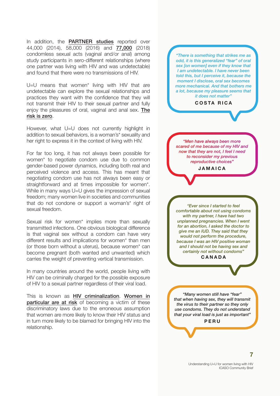In addition, the [PARTNER stud](http://i-base.info/htb/24904)ies reported over 44,000 (2014), 58,000 (2016) and [77,000](http://www.aidsmap.com/Zero-transmissions-mean-zero-risk-PARTNER-2-study-results-announced/page/3311249/) (2018) condomless sexual acts (vaginal and/or anal) among study participants in sero-different relationships (where one partner was living with HIV and was undetectable) and found that there were no transmissions of HIV.

U=U means that women\* living with HIV that are undetectable can explore the sexual relationships and practices they want with the confidence that they will not transmit their HIV to their sexual partner and fully enjoy the pleasures of oral, vaginal and anal sex. [The](https://www.thelancet.com/journals/lanhiv/article/PIIS2352-3018(18)30103-6/fulltext) [risk is zero](https://www.thelancet.com/journals/lanhiv/article/PIIS2352-3018(18)30103-6/fulltext).

However, what U=U does not currently highlight in addition to sexual behaviors, is a woman's\* sexuality and her right to express it in the context of living with HIV.

For far too long, it has not always been possible for women\* to negotiate condom use due to common gender-based power dynamics, including both real and perceived violence and access. This has meant that negotiating condom use has not always been easy or straightforward and at times impossible for women\*. While in many ways U=U gives the impression of sexual freedom; many women live in societies and communities that do not condone or support a woman's\* right of sexual freedom.

Sexual risk for women<sup>\*</sup> implies more than sexually transmitted infections. One obvious biological difference is that vaginal sex without a condom can have very different results and implications for women\* than men (or those born without a uterus), because women\* can become pregnant (both wanted and unwanted) which carries the weight of preventing vertical transmission.

In many countries around the world, people living with HIV can be criminally charged for the possible exposure of HIV to a sexual partner regardless of their viral load.

This is known as [HIV criminalization](http://criminalisation.gnpplus.net/). [Women in](http://www.athenanetwork.org/assets/files/10%20Reasons%20Why%20Criminalization%20Harms%20Women/10%20Reasons%20Why%20Criminalisation%20Harms%20Women.pdf) [particular are at risk](http://www.athenanetwork.org/assets/files/10%20Reasons%20Why%20Criminalization%20Harms%20Women/10%20Reasons%20Why%20Criminalisation%20Harms%20Women.pdf) of becoming a victim of these discriminatory laws due to the erroneous assumption that women are more likely to know their HIV status and in turn more likely to be blamed for bringing HIV into the relationship.

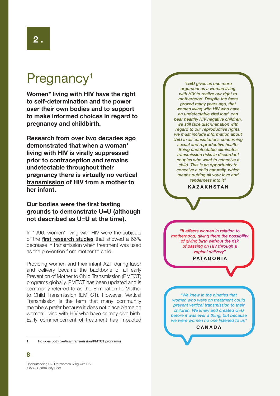# <span id="page-9-0"></span>Pregnancy<sup>1</sup>

**Women\* living with HIV have the right to self-determination and the power over their own bodies and to support to make informed choices in regard to pregnancy and childbirth.**

**Research from over two decades ago demonstrated that when a woman\* living with HIV is virally suppressed prior to contraception and remains undetectable throughout their pregnancy there is virtually [no vertical](https://www.ncbi.nlm.nih.gov/pubmed/26197844)  [transmission](https://www.ncbi.nlm.nih.gov/pubmed/26197844) of HIV from a mother to her infant.** 

## **Our bodies were the first testing grounds to demonstrate U=U (although not described as U=U at the time).**

In 1996, women\* living with HIV were the subjects of the [first research studies](https://aidsinfo.nih.gov/news/101/actg-076-questions-and-answers) that showed a 66% decrease in transmission when treatment was used as the prevention from mother to child.

Providing women and their infant AZT during labor and delivery became the backbone of all early Prevention of Mother to Child Transmission (PMTCT) programs globally. PMTCT has been updated and is commonly referred to as the Elimination to Mother to Child Transmission (EMTCT). However, Vertical Transmission is the term that many community members prefer because it does not place blame on women\* living with HIV who have or may give birth. Early commencement of treatment has impacted



<sup>1</sup> Includes both (vertical transmission/PMTCT programs)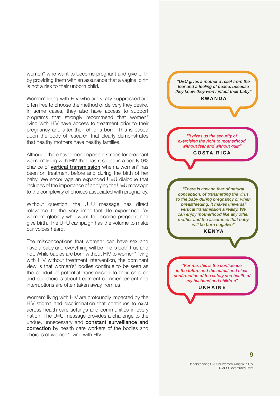women\* who want to become pregnant and give birth by providing them with an assurance that a vaginal birth is not a risk to their unborn child.

Women\* living with HIV who are virally suppressed are often free to choose the method of delivery they desire. In some cases, they also have access to support programs that strongly recommend that women\* living with HIV have access to treatment prior to their pregnancy and after their child is born. This is based upon the body of research that clearly demonstrates that healthy mothers have healthy families.

Although there have been important strides for pregnant women\* living with HIV that has resulted in a nearly 0% chance of **[vertical transmission](https://www.youtube.com/watch?v=31e_P_jy5GY)** when a woman\* has been on treatment before and during the birth of her baby. We encourage an expanded U=U dialogue that includes of the importance of applying the U=U message to the complexity of choices associated with pregnancy.

Without question, the U=U message has direct relevance to the very important life experience for women\* globally who want to become pregnant and give birth. The U=U campaign has the volume to make our voices heard.

The misconceptions that women\* can have sex and have a baby and everything will be fine is both true and not. While babies are born without HIV to women\* living with HIV without treatment intervention, the dominant view is that women's\* bodies continue to be seen as the conduit of potential transmission to their children and our choices about treatment commencement and interruptions are often taken away from us.

Women\* living with HIV are profoundly impacted by the HIV stigma and discrimination that continues to exist across health care settings and communities in every nation. The U=U message provides a challenge to the undue, unnecessary and constant surveillance and correction by health care workers of the bodies and choices of women\* living with HIV.

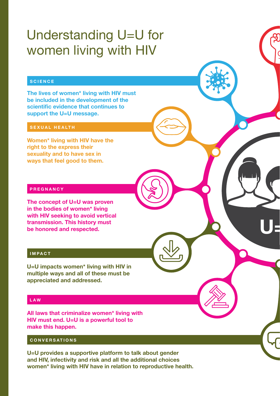# <span id="page-11-0"></span>Understanding U=U for women living with HIV

### **SCIENCE**

**The lives of women\* living with HIV must be included in the development of the scientific evidence that continues to support the U=U message.**

### **SEXUAL HEALTH**

**Women\* living with HIV have the right to the express their sexuality and to have sex in ways that feel good to them.**

### **PREGNANCY**

**The concept of U=U was proven in the bodies of women\* living with HIV seeking to avoid vertical transmission. This history must be honored and respected.**

### **IMPACT**

**U=U impacts women\* living with HIV in multiple ways and all of these must be appreciated and addressed.** 

### **LAW**

**All laws that criminalize women\* living with HIV must end. U=U is a powerful tool to make this happen.**

### **CONVERSATIONS**

**U=U provides a supportive platform to talk about gender and HIV, infectivity and risk and all the additional choices women\* living with HIV have in relation to reproductive health.** **U=U**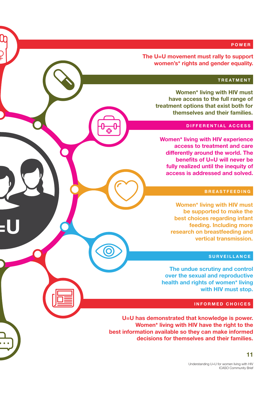### **POWER**

**The U=U movement must rally to support women's\* rights and gender equality.**

### **TREATMENT**

**Women\* living with HIV must have access to the full range of treatment options that exist both for themselves and their families.**

#### **DIFFERENTIAL ACCESS**

**Women\* living with HIV experience access to treatment and care differently around the world. The benefits of U=U will never be fully realized until the inequity of access is addressed and solved.**

#### **BREASTFEEDING**

**Women\* living with HIV must be supported to make the best choices regarding infant feeding. Including more research on breastfeeding and vertical transmission.** 

#### **SURVEILLANCE**

**The undue scrutiny and control over the sexual and reproductive health and rights of women\* living with HIV must stop.**

#### **INFORMED CHOICES**

**U=U has demonstrated that knowledge is power. Women\* living with HIV have the right to the best information available so they can make informed decisions for themselves and their families.**

**U=U**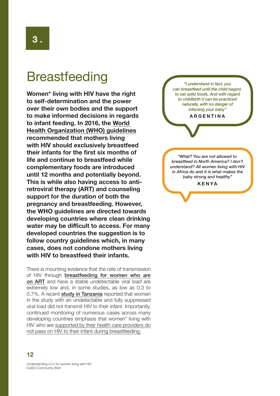# <span id="page-13-0"></span>**Breastfeeding**

**Women\* living with HIV have the right to self-determination and the power over their own bodies and the support to make informed decisions in regards to infant feeding. In 2016, the [World](http://www.who.int/maternal_child_adolescent/documents/hiv-infant-feeding-2016/en/)  [Health Organization \(WHO\) guidelines](http://www.who.int/maternal_child_adolescent/documents/hiv-infant-feeding-2016/en/) recommended that mothers living with HIV should exclusively breastfeed their infants for the first six months of life and continue to breastfeed while complementary foods are introduced until 12 months and potentially beyond. This is while also having access to antiretroviral therapy (ART) and counseling support for the duration of both the pregnancy and breastfeeding. However, the WHO guidelines are directed towards developing countries where clean drinking water may be difficult to access. For many developed countries the suggestion is to follow country guidelines which, in many cases, does not condone mothers living with HIV to breastfeed their infants.**

There is mounting evidence that the rate of transmission of HIV through **[breastfeeding for women who are](https://www.impaactnetwork.org/studies/)** [on ART](https://www.impaactnetwork.org/studies/) and have a stable undetectable viral load are extremely low and, in some studies, as low as 0.3 to 0.7%. A recent [study in Tanzania](http://i-base.info/htb/32966) reported that women in the study with an undetectable and fully suppressed viral load did not transmit HIV to their infant. Importantly, continued monitoring of numerous cases across many developing countries emphasis that women\* living with HIV who are supported by their health care providers do not pass on HIV to their infant during breastfeeding.

*"I understand in fact, you can breastfeed until the child begins to eat solid foods. And with regard to childbirth it can be practiced naturally, with no danger of infecting your baby"*

**ARGENTINA**

*"What? You are not allowed to breastfeed in North America? I don't understand? All women living with HIV in Africa do and it is what makes the baby strong and healthy"*

**KENYA**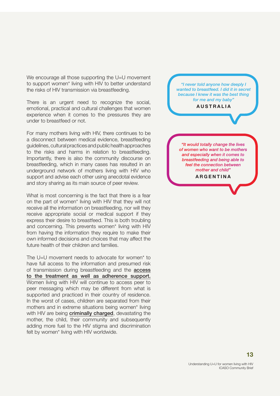We encourage all those supporting the U=U movement to support women\* living with HIV to better understand the risks of HIV transmission via breastfeeding.

There is an urgent need to recognize the social, emotional, practical and cultural challenges that women experience when it comes to the pressures they are under to breastfeed or not.

For many mothers living with HIV, there continues to be a disconnect between medical evidence, breastfeeding guidelines, cultural practices and public health approaches to the risks and harms in relation to breastfeeding. Importantly, there is also the community discourse on breastfeeding, which in many cases has resulted in an underground network of mothers living with HIV who support and advise each other using anecdotal evidence and story sharing as its main source of peer review.

What is most concerning is the fact that there is a fear on the part of women\* living with HIV that they will not receive all the information on breastfeeding, nor will they receive appropriate social or medical support if they express their desire to breastfeed. This is both troubling and concerning. This prevents women\* living with HIV from having the information they require to make their own informed decisions and choices that may affect the future health of their children and families.

The U=U movement needs to advocate for women<sup>\*</sup> to have full access to the information and presumed risk of transmission during breastfeeding and the **access** to the treatment as well as adherence support. Women living with HIV will continue to access peer to peer messaging which may be different from what is supported and practiced in their country of residence. In the worst of cases, children are separated from their mothers and in extreme situations being women\* living with HIV are being **[criminally charged](https://zimlii.org/zw/journal/2018-zelj-01/%5Bnode%3Afield_jpubdate%3Acustom%3AY/hiv-mother-breastfeeding-baby-did-she-commit)**, devastating the mother, the child, their community and subsequently adding more fuel to the HIV stigma and discrimination felt by women\* living with HIV worldwide.

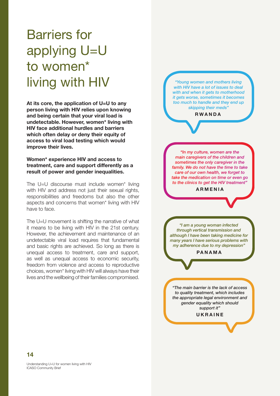# applying U=U to women\* living with HIV **At its core, the application of U=U to any**

<span id="page-15-0"></span>Barriers for

**person living with HIV relies upon knowing and being certain that your viral load is undetectable. However, women\* living with HIV face additional hurdles and barriers which often delay or deny their equity of access to viral load testing which would improve their lives.** 

### **Women\* experience HIV and access to treatment, care and support differently as a result of power and gender inequalities.**

The U=U discourse must include women\* living with HIV and address not just their sexual rights, responsibilities and freedoms but also the other aspects and concerns that women\* living with HIV have to face.

The U=U movement is shifting the narrative of what it means to be living with HIV in the 21st century. However, the achievement and maintenance of an undetectable viral load requires that fundamental and basic rights are achieved. So long as there is unequal access to treatment, care and support, as well as unequal access to economic security, freedom from violence and access to reproductive choices, women\* living with HIV will always have their lives and the wellbeing of their families compromised.

*"Young women and mothers living with HIV have a lot of issues to deal with and when it gets to motherhood it gets worse, sometimes it becomes too much to handle and they end up skipping their meds"*

**RWANDA**

*"In my culture, women are the main caregivers of the children and sometimes the only caregiver in the family. We do not have the time to take care of our own health, we forget to take the medication on time or even go to the clinics to get the HIV treatment"*

**ARMENIA**

*"I am a young woman infected through vertical transmission and although I have been taking medicine for many years I have serious problems with my adherence due to my depression"*

**PANAMA**

*"The main barrier is the lack of access to quality treatment, which includes the appropriate legal environment and gender equality which should support it"*

**UKRAINE**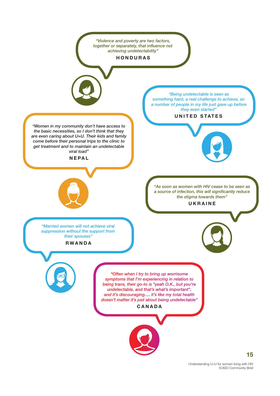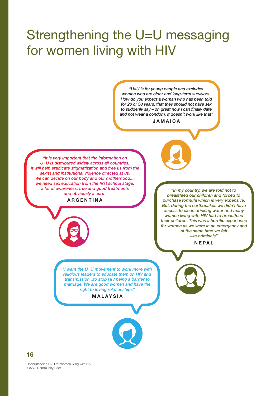# <span id="page-17-0"></span>Strengthening the U=U messaging for women living with HIV

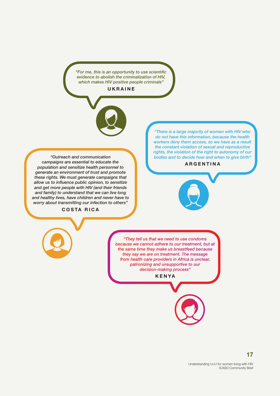*"For me, this is an opportunity to use scientific evidence to abolish the criminalization of HIV, which makes HIV positive people criminals"* 

**UKRAINE**



*"Outreach and communication campaigns are essential to educate the population and sensitize health personnel to generate an environment of trust and promote these rights. We must generate campaigns that allow us to influence public opinion, to sensitize and get more people with HIV (and their friends and family) to understand that we can live long and healthy lives, have children and never have to worry about transmitting our infection to others"* 

**COSTA RICA**

*"There is a large majority of women with HIV who do not have this information, because the health workers deny them access, so we have as a result the constant violation of sexual and reproductive rights, the violation of the right to autonomy of our bodies and to decide how and when to give birth"*

#### **ARGENTINA**

*"They tell us that we need to use condoms because we cannot adhere to our treatment, but at the same time they make us breastfeed because they say we are on treatment. The message from health care providers in Africa is unclear, patronizing and unsupportive to our decision-making process"*

**KENYA**

Understanding U=U for women living with HIV ICASO Community Brief